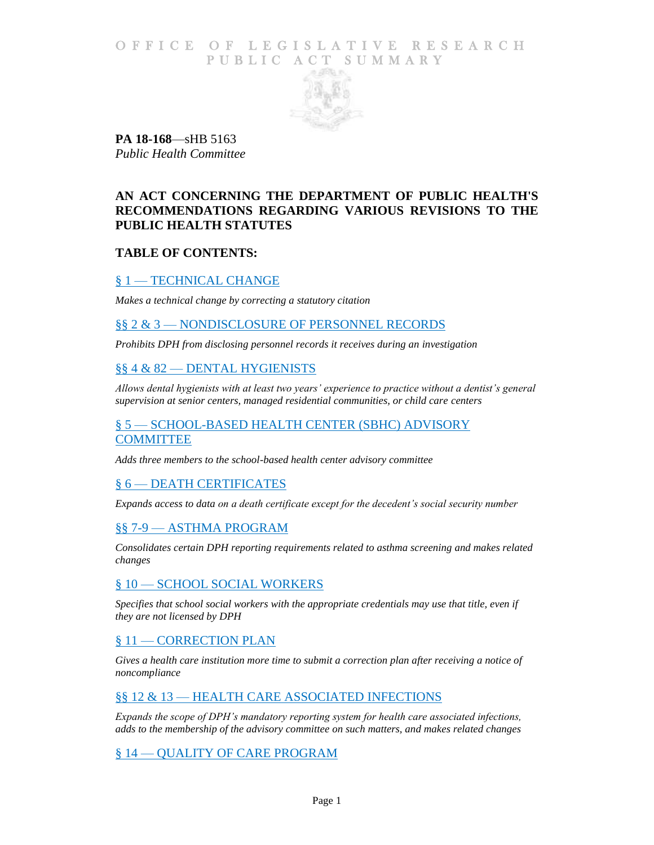## O F FICE OF LEGISLATIVE RESEARCH PUBLIC ACT SUMMARY



**PA 18-168**—sHB 5163 *Public Health Committee*

# **AN ACT CONCERNING THE DEPARTMENT OF PUBLIC HEALTH'S RECOMMENDATIONS REGARDING VARIOUS REVISIONS TO THE PUBLIC HEALTH STATUTES**

# **TABLE OF CONTENTS:**

## § 1 — [TECHNICAL CHANGE](#page-4-0)

*Makes a technical change by correcting a statutory citation*

§§ 2 & 3 — [NONDISCLOSURE OF PERSONNEL RECORDS](#page-4-1)

*Prohibits DPH from disclosing personnel records it receives during an investigation*

## §§ 4 & 82 — [DENTAL HYGIENISTS](#page-4-2)

*Allows dental hygienists with at least two years' experience to practice without a dentist's general supervision at senior centers, managed residential communities, or child care centers*

# § 5 — [SCHOOL-BASED HEALTH CENTER \(SBHC\) ADVISORY](#page-5-0)  **[COMMITTEE](#page-5-0)**

*Adds three members to the school-based health center advisory committee*

# § 6 — [DEATH CERTIFICATES](#page-5-1)

*Expands access to data on a death certificate except for the decedent's social security number*

## §§ 7-9 — [ASTHMA PROGRAM](#page-6-0)

*Consolidates certain DPH reporting requirements related to asthma screening and makes related changes*

# § 10 — [SCHOOL SOCIAL WORKERS](#page-6-1)

*Specifies that school social workers with the appropriate credentials may use that title, even if they are not licensed by DPH*

# § 11 — [CORRECTION PLAN](#page-6-2)

*Gives a health care institution more time to submit a correction plan after receiving a notice of noncompliance*

## §§ 12 & 13 — [HEALTH CARE ASSOCIATED INFECTIONS](#page-7-0)

*Expands the scope of DPH's mandatory reporting system for health care associated infections, adds to the membership of the advisory committee on such matters, and makes related changes*

## § 14 — [QUALITY OF CARE PROGRAM](#page-8-0)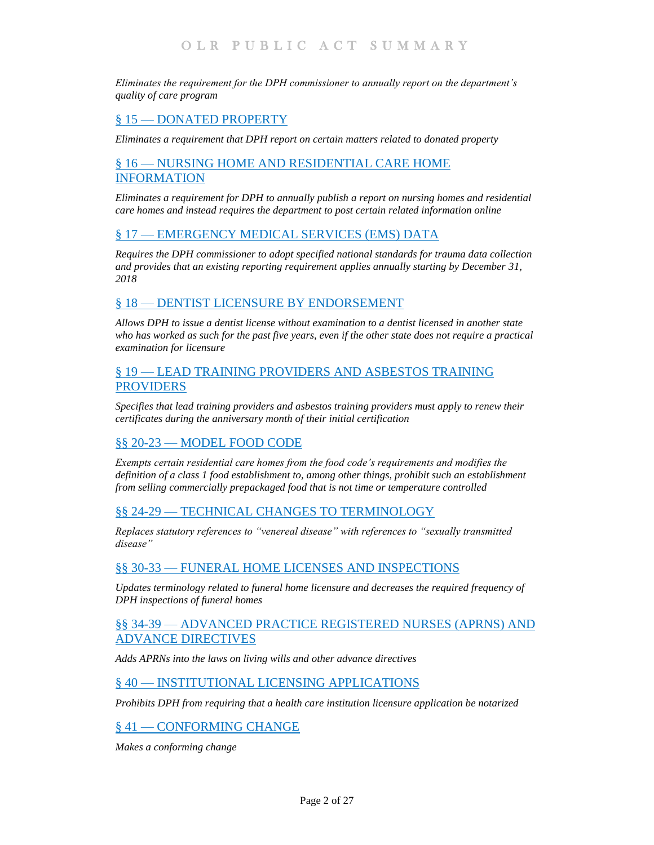*Eliminates the requirement for the DPH commissioner to annually report on the department's quality of care program*

# § 15 — [DONATED PROPERTY](#page-8-1)

*Eliminates a requirement that DPH report on certain matters related to donated property*

# § 16 — [NURSING HOME AND RESIDENTIAL CARE HOME](#page-8-2)  [INFORMATION](#page-8-2)

*Eliminates a requirement for DPH to annually publish a report on nursing homes and residential care homes and instead requires the department to post certain related information online*

## § 17 — [EMERGENCY MEDICAL SERVICES \(EMS\) DATA](#page-8-3)

*Requires the DPH commissioner to adopt specified national standards for trauma data collection and provides that an existing reporting requirement applies annually starting by December 31, 2018*

# § 18 — [DENTIST LICENSURE BY ENDORSEMENT](#page-9-0)

*Allows DPH to issue a dentist license without examination to a dentist licensed in another state who has worked as such for the past five years, even if the other state does not require a practical examination for licensure*

## § 19 — [LEAD TRAINING PROVIDERS AND ASBESTOS TRAINING](#page-9-1)  [PROVIDERS](#page-9-1)

*Specifies that lead training providers and asbestos training providers must apply to renew their certificates during the anniversary month of their initial certification*

## §§ 20-23 — [MODEL FOOD CODE](#page-9-2)

*Exempts certain residential care homes from the food code's requirements and modifies the definition of a class 1 food establishment to, among other things, prohibit such an establishment from selling commercially prepackaged food that is not time or temperature controlled*

## §§ 24-29 — [TECHNICAL CHANGES TO](#page-10-0) TERMINOLOGY

*Replaces statutory references to "venereal disease" with references to "sexually transmitted disease"*

## §§ 30-33 — [FUNERAL HOME LICENSES AND INSPECTIONS](#page-10-1)

*Updates terminology related to funeral home licensure and decreases the required frequency of DPH inspections of funeral homes*

## §§ 34-39 — [ADVANCED PRACTICE REGISTERED NURSES \(APRNS\) AND](#page-10-2)  [ADVANCE DIRECTIVES](#page-10-2)

*Adds APRNs into the laws on living wills and other advance directives*

#### § 40 — [INSTITUTIONAL LICENSING APPLICATIONS](#page-11-0)

*Prohibits DPH from requiring that a health care institution licensure application be notarized*

## § 41 — [CONFORMING CHANGE](#page-11-1)

*Makes a conforming change*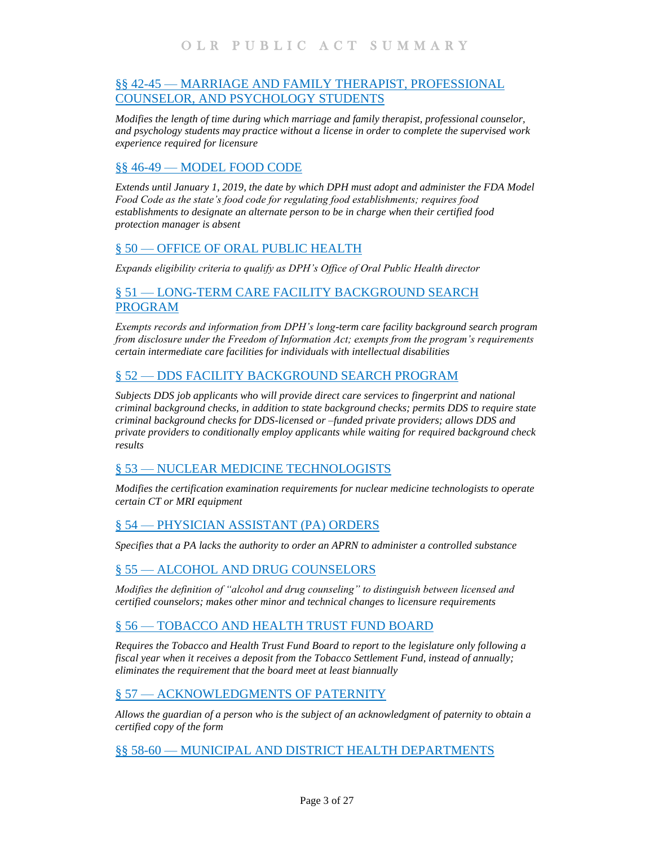# §§ 42-45 — [MARRIAGE AND FAMILY THERAPIST, PROFESSIONAL](#page-11-2)  [COUNSELOR, AND PSYCHOLOGY STUDENTS](#page-11-2)

*Modifies the length of time during which marriage and family therapist, professional counselor, and psychology students may practice without a license in order to complete the supervised work experience required for licensure*

## §§ 46-49 — [MODEL FOOD CODE](#page-12-0)

*Extends until January 1, 2019, the date by which DPH must adopt and administer the FDA Model Food Code as the state's food code for regulating food establishments; requires food establishments to designate an alternate person to be in charge when their certified food protection manager is absent*

# § 50 — [OFFICE OF ORAL PUBLIC HEALTH](#page-12-1)

*Expands eligibility criteria to qualify as DPH's Office of Oral Public Health director*

## § 51 — [LONG-TERM CARE FACILITY BACKGROUND SEARCH](#page-13-0)  [PROGRAM](#page-13-0)

*Exempts records and information from DPH's long-term care facility background search program from disclosure under the Freedom of Information Act; exempts from the program's requirements certain intermediate care facilities for individuals with intellectual disabilities*

## § 52 — [DDS FACILITY BACKGROUND SEARCH PROGRAM](#page-13-1)

*Subjects DDS job applicants who will provide direct care services to fingerprint and national criminal background checks, in addition to state background checks; permits DDS to require state criminal background checks for DDS-licensed or –funded private providers; allows DDS and private providers to conditionally employ applicants while waiting for required background check results*

# § 53 — [NUCLEAR MEDICINE TECHNOLOGISTS](#page-14-0)

*Modifies the certification examination requirements for nuclear medicine technologists to operate certain CT or MRI equipment*

# § 54 — [PHYSICIAN ASSISTANT \(PA\) ORDERS](#page-14-1)

*Specifies that a PA lacks the authority to order an APRN to administer a controlled substance*

# § 55 — [ALCOHOL AND DRUG COUNSELORS](#page-14-2)

*Modifies the definition of "alcohol and drug counseling" to distinguish between licensed and certified counselors; makes other minor and technical changes to licensure requirements*

# § 56 — [TOBACCO AND HEALTH TRUST FUND BOARD](#page-15-0)

*Requires the Tobacco and Health Trust Fund Board to report to the legislature only following a fiscal year when it receives a deposit from the Tobacco Settlement Fund, instead of annually; eliminates the requirement that the board meet at least biannually*

## § 57 — [ACKNOWLEDGMENTS OF PATERNITY](#page-15-1)

*Allows the guardian of a person who is the subject of an acknowledgment of paternity to obtain a certified copy of the form*

## §§ 58-60 — [MUNICIPAL AND DISTRICT HEALTH DEPARTMENTS](#page-15-2)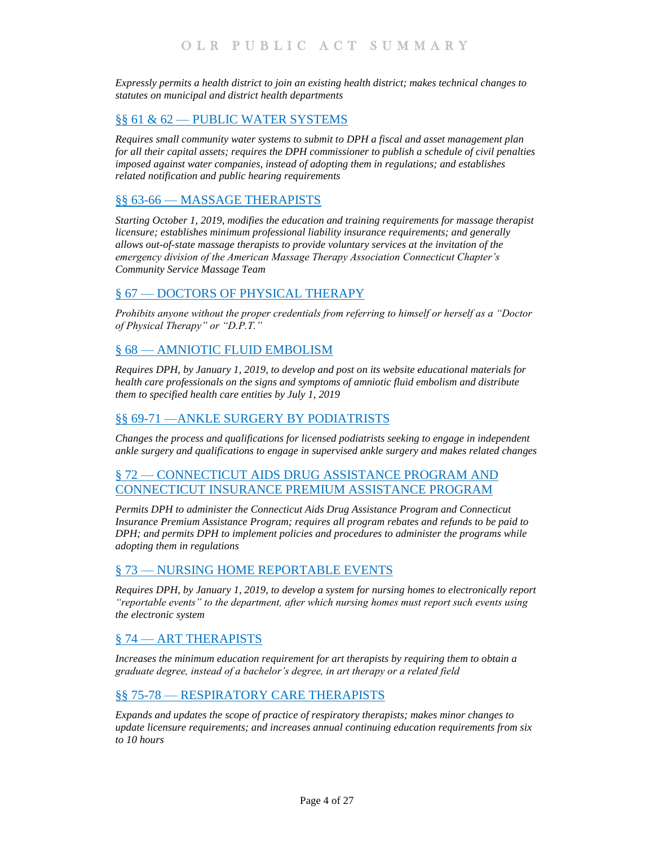*Expressly permits a health district to join an existing health district; makes technical changes to statutes on municipal and district health departments*

# §§ 61 & 62 — [PUBLIC WATER SYSTEMS](#page-16-0)

*Requires small community water systems to submit to DPH a fiscal and asset management plan for all their capital assets; requires the DPH commissioner to publish a schedule of civil penalties imposed against water companies, instead of adopting them in regulations; and establishes related notification and public hearing requirements*

## §§ 63-66 — [MASSAGE THERAPISTS](#page-18-0)

*Starting October 1, 2019, modifies the education and training requirements for massage therapist licensure; establishes minimum professional liability insurance requirements; and generally allows out-of-state massage therapists to provide voluntary services at the invitation of the emergency division of the American Massage Therapy Association Connecticut Chapter's Community Service Massage Team*

# § 67 - [DOCTORS OF PHYSICAL THERAPY](#page-19-0)

*Prohibits anyone without the proper credentials from referring to himself or herself as a "Doctor of Physical Therapy" or "D.P.T."*

# § 68 — [AMNIOTIC FLUID EMBOLISM](#page-19-1)

*Requires DPH, by January 1, 2019, to develop and post on its website educational materials for health care professionals on the signs and symptoms of amniotic fluid embolism and distribute them to specified health care entities by July 1, 2019*

## [§§ 69-71 —ANKLE SURGERY BY PODIATRISTS](#page-20-0)

*Changes the process and qualifications for licensed podiatrists seeking to engage in independent ankle surgery and qualifications to engage in supervised ankle surgery and makes related changes*

## § 72 — [CONNECTICUT AIDS DRUG ASSISTANCE PROGRAM](#page-21-0) AND [CONNECTICUT INSURANCE PREMIUM ASSISTANCE](#page-21-0) PROGRAM

*Permits DPH to administer the Connecticut Aids Drug Assistance Program and Connecticut Insurance Premium Assistance Program; requires all program rebates and refunds to be paid to DPH; and permits DPH to implement policies and procedures to administer the programs while adopting them in regulations*

# § 73 — [NURSING HOME REPORTABLE EVENTS](#page-22-0)

*Requires DPH, by January 1, 2019, to develop a system for nursing homes to electronically report "reportable events" to the department, after which nursing homes must report such events using the electronic system*

# § 74 — [ART THERAPISTS](#page-22-1)

*Increases the minimum education requirement for art therapists by requiring them to obtain a graduate degree, instead of a bachelor's degree, in art therapy or a related field*

# §§ 75-78 — [RESPIRATORY CARE THERAPISTS](#page-22-2)

*Expands and updates the scope of practice of respiratory therapists; makes minor changes to update licensure requirements; and increases annual continuing education requirements from six to 10 hours*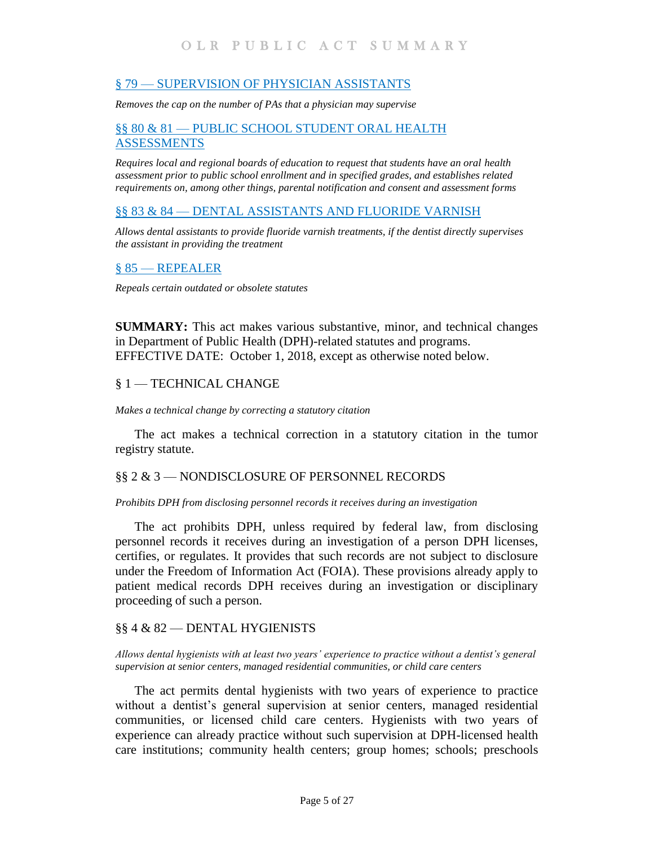## § 79 — [SUPERVISION OF PHYSICIAN ASSISTANTS](#page-24-0)

*Removes the cap on the number of PAs that a physician may supervise*

## §§ 80 & 81 — [PUBLIC SCHOOL STUDENT ORAL HEALTH](#page-24-1)  [ASSESSMENTS](#page-24-1)

*Requires local and regional boards of education to request that students have an oral health assessment prior to public school enrollment and in specified grades, and establishes related requirements on, among other things, parental notification and consent and assessment forms*

## §§ 83 & 84 — [DENTAL ASSISTANTS AND FLUORIDE VARNISH](#page-26-0)

*Allows dental assistants to provide fluoride varnish treatments, if the dentist directly supervises the assistant in providing the treatment*

## § 85 — [REPEALER](#page-26-1)

*Repeals certain outdated or obsolete statutes*

**SUMMARY:** This act makes various substantive, minor, and technical changes in Department of Public Health (DPH)-related statutes and programs. EFFECTIVE DATE: October 1, 2018, except as otherwise noted below.

# <span id="page-4-0"></span>§ 1 — TECHNICAL CHANGE

*Makes a technical change by correcting a statutory citation*

The act makes a technical correction in a statutory citation in the tumor registry statute.

## <span id="page-4-1"></span>§§ 2 & 3 — NONDISCLOSURE OF PERSONNEL RECORDS

#### *Prohibits DPH from disclosing personnel records it receives during an investigation*

The act prohibits DPH, unless required by federal law, from disclosing personnel records it receives during an investigation of a person DPH licenses, certifies, or regulates. It provides that such records are not subject to disclosure under the Freedom of Information Act (FOIA). These provisions already apply to patient medical records DPH receives during an investigation or disciplinary proceeding of such a person.

## <span id="page-4-2"></span>§§ 4 & 82 — DENTAL HYGIENISTS

*Allows dental hygienists with at least two years' experience to practice without a dentist's general supervision at senior centers, managed residential communities, or child care centers*

The act permits dental hygienists with two years of experience to practice without a dentist's general supervision at senior centers, managed residential communities, or licensed child care centers. Hygienists with two years of experience can already practice without such supervision at DPH-licensed health care institutions; community health centers; group homes; schools; preschools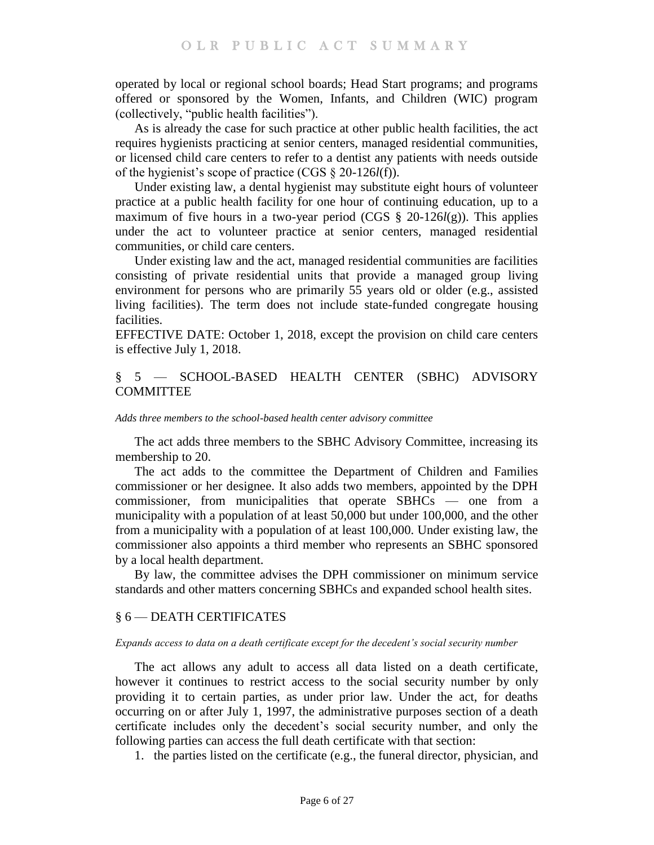operated by local or regional school boards; Head Start programs; and programs offered or sponsored by the Women, Infants, and Children (WIC) program (collectively, "public health facilities").

As is already the case for such practice at other public health facilities, the act requires hygienists practicing at senior centers, managed residential communities, or licensed child care centers to refer to a dentist any patients with needs outside of the hygienist's scope of practice (CGS § 20-126*l*(f)).

Under existing law, a dental hygienist may substitute eight hours of volunteer practice at a public health facility for one hour of continuing education, up to a maximum of five hours in a two-year period (CGS § 20-126*l*(g)). This applies under the act to volunteer practice at senior centers, managed residential communities, or child care centers.

Under existing law and the act, managed residential communities are facilities consisting of private residential units that provide a managed group living environment for persons who are primarily 55 years old or older (e.g., assisted living facilities). The term does not include state-funded congregate housing facilities.

EFFECTIVE DATE: October 1, 2018, except the provision on child care centers is effective July 1, 2018.

# <span id="page-5-0"></span>§ 5 — SCHOOL-BASED HEALTH CENTER (SBHC) ADVISORY **COMMITTEE**

#### *Adds three members to the school-based health center advisory committee*

The act adds three members to the SBHC Advisory Committee, increasing its membership to 20.

The act adds to the committee the Department of Children and Families commissioner or her designee. It also adds two members, appointed by the DPH commissioner, from municipalities that operate SBHCs — one from a municipality with a population of at least 50,000 but under 100,000, and the other from a municipality with a population of at least 100,000. Under existing law, the commissioner also appoints a third member who represents an SBHC sponsored by a local health department.

By law, the committee advises the DPH commissioner on minimum service standards and other matters concerning SBHCs and expanded school health sites.

## <span id="page-5-1"></span>§ 6 — DEATH CERTIFICATES

#### *Expands access to data on a death certificate except for the decedent's social security number*

The act allows any adult to access all data listed on a death certificate, however it continues to restrict access to the social security number by only providing it to certain parties, as under prior law. Under the act, for deaths occurring on or after July 1, 1997, the administrative purposes section of a death certificate includes only the decedent's social security number, and only the following parties can access the full death certificate with that section:

1. the parties listed on the certificate (e.g., the funeral director, physician, and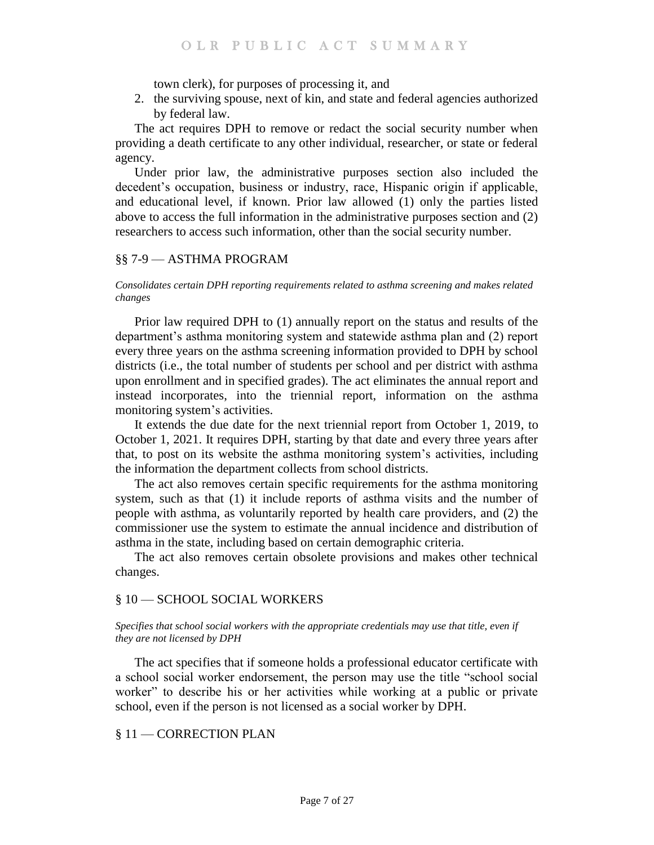town clerk), for purposes of processing it, and

2. the surviving spouse, next of kin, and state and federal agencies authorized by federal law.

The act requires DPH to remove or redact the social security number when providing a death certificate to any other individual, researcher, or state or federal agency.

Under prior law, the administrative purposes section also included the decedent's occupation, business or industry, race, Hispanic origin if applicable, and educational level, if known. Prior law allowed (1) only the parties listed above to access the full information in the administrative purposes section and (2) researchers to access such information, other than the social security number.

## <span id="page-6-0"></span>§§ 7-9 — ASTHMA PROGRAM

*Consolidates certain DPH reporting requirements related to asthma screening and makes related changes*

Prior law required DPH to (1) annually report on the status and results of the department's asthma monitoring system and statewide asthma plan and (2) report every three years on the asthma screening information provided to DPH by school districts (i.e., the total number of students per school and per district with asthma upon enrollment and in specified grades). The act eliminates the annual report and instead incorporates, into the triennial report, information on the asthma monitoring system's activities.

It extends the due date for the next triennial report from October 1, 2019, to October 1, 2021. It requires DPH, starting by that date and every three years after that, to post on its website the asthma monitoring system's activities, including the information the department collects from school districts.

The act also removes certain specific requirements for the asthma monitoring system, such as that (1) it include reports of asthma visits and the number of people with asthma, as voluntarily reported by health care providers, and (2) the commissioner use the system to estimate the annual incidence and distribution of asthma in the state, including based on certain demographic criteria.

The act also removes certain obsolete provisions and makes other technical changes.

## <span id="page-6-1"></span>§ 10 — SCHOOL SOCIAL WORKERS

*Specifies that school social workers with the appropriate credentials may use that title, even if they are not licensed by DPH*

The act specifies that if someone holds a professional educator certificate with a school social worker endorsement, the person may use the title "school social worker" to describe his or her activities while working at a public or private school, even if the person is not licensed as a social worker by DPH.

## <span id="page-6-2"></span>§ 11 — CORRECTION PLAN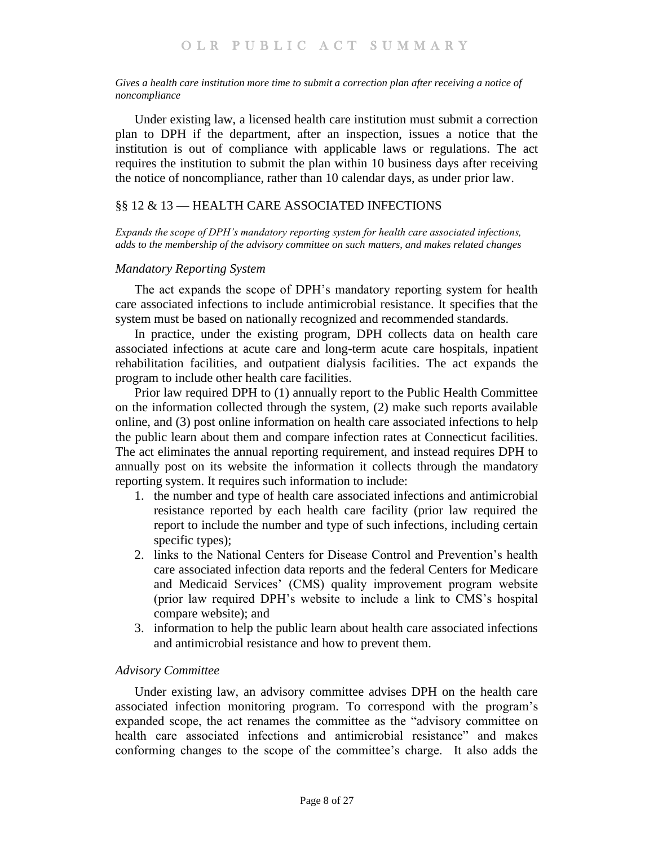#### *Gives a health care institution more time to submit a correction plan after receiving a notice of noncompliance*

Under existing law, a licensed health care institution must submit a correction plan to DPH if the department, after an inspection, issues a notice that the institution is out of compliance with applicable laws or regulations. The act requires the institution to submit the plan within 10 business days after receiving the notice of noncompliance, rather than 10 calendar days, as under prior law.

# <span id="page-7-0"></span>§§ 12 & 13 — HEALTH CARE ASSOCIATED INFECTIONS

*Expands the scope of DPH's mandatory reporting system for health care associated infections, adds to the membership of the advisory committee on such matters, and makes related changes*

## *Mandatory Reporting System*

The act expands the scope of DPH's mandatory reporting system for health care associated infections to include antimicrobial resistance. It specifies that the system must be based on nationally recognized and recommended standards.

In practice, under the existing program, DPH collects data on health care associated infections at acute care and long-term acute care hospitals, inpatient rehabilitation facilities, and outpatient dialysis facilities. The act expands the program to include other health care facilities.

Prior law required DPH to (1) annually report to the Public Health Committee on the information collected through the system, (2) make such reports available online, and (3) post online information on health care associated infections to help the public learn about them and compare infection rates at Connecticut facilities. The act eliminates the annual reporting requirement, and instead requires DPH to annually post on its website the information it collects through the mandatory reporting system. It requires such information to include:

- 1. the number and type of health care associated infections and antimicrobial resistance reported by each health care facility (prior law required the report to include the number and type of such infections, including certain specific types);
- 2. links to the National Centers for Disease Control and Prevention's health care associated infection data reports and the federal Centers for Medicare and Medicaid Services' (CMS) quality improvement program website (prior law required DPH's website to include a link to CMS's hospital compare website); and
- 3. information to help the public learn about health care associated infections and antimicrobial resistance and how to prevent them.

## *Advisory Committee*

Under existing law, an advisory committee advises DPH on the health care associated infection monitoring program. To correspond with the program's expanded scope, the act renames the committee as the "advisory committee on health care associated infections and antimicrobial resistance" and makes conforming changes to the scope of the committee's charge. It also adds the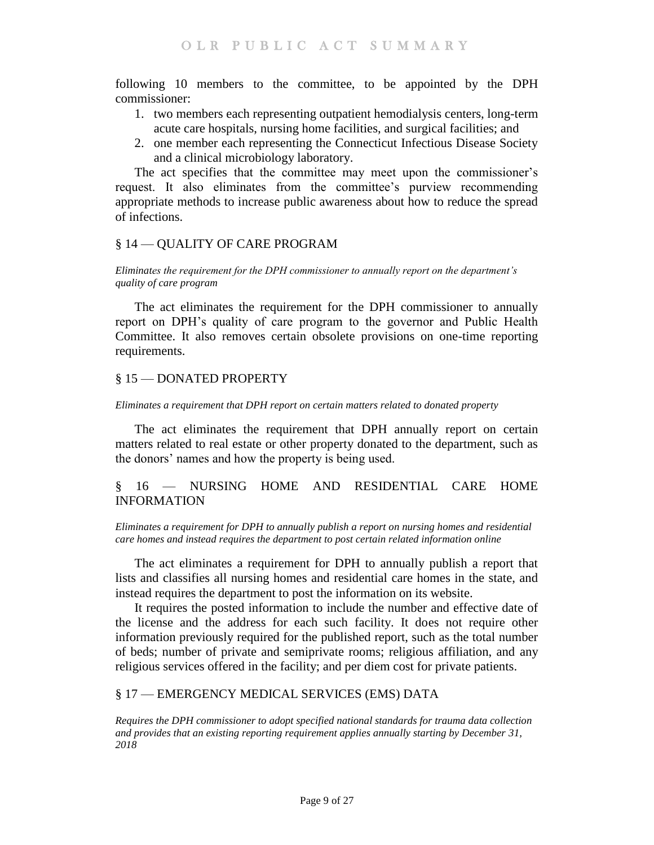following 10 members to the committee, to be appointed by the DPH commissioner:

- 1. two members each representing outpatient hemodialysis centers, long-term acute care hospitals, nursing home facilities, and surgical facilities; and
- 2. one member each representing the Connecticut Infectious Disease Society and a clinical microbiology laboratory.

The act specifies that the committee may meet upon the commissioner's request. It also eliminates from the committee's purview recommending appropriate methods to increase public awareness about how to reduce the spread of infections.

# <span id="page-8-0"></span>§ 14 — QUALITY OF CARE PROGRAM

*Eliminates the requirement for the DPH commissioner to annually report on the department's quality of care program*

The act eliminates the requirement for the DPH commissioner to annually report on DPH's quality of care program to the governor and Public Health Committee. It also removes certain obsolete provisions on one-time reporting requirements.

# <span id="page-8-1"></span>§ 15 — DONATED PROPERTY

#### *Eliminates a requirement that DPH report on certain matters related to donated property*

The act eliminates the requirement that DPH annually report on certain matters related to real estate or other property donated to the department, such as the donors' names and how the property is being used.

# <span id="page-8-2"></span>§ 16 — NURSING HOME AND RESIDENTIAL CARE HOME INFORMATION

*Eliminates a requirement for DPH to annually publish a report on nursing homes and residential care homes and instead requires the department to post certain related information online* 

The act eliminates a requirement for DPH to annually publish a report that lists and classifies all nursing homes and residential care homes in the state, and instead requires the department to post the information on its website.

It requires the posted information to include the number and effective date of the license and the address for each such facility. It does not require other information previously required for the published report, such as the total number of beds; number of private and semiprivate rooms; religious affiliation, and any religious services offered in the facility; and per diem cost for private patients.

## <span id="page-8-3"></span>§ 17 — EMERGENCY MEDICAL SERVICES (EMS) DATA

*Requires the DPH commissioner to adopt specified national standards for trauma data collection and provides that an existing reporting requirement applies annually starting by December 31, 2018*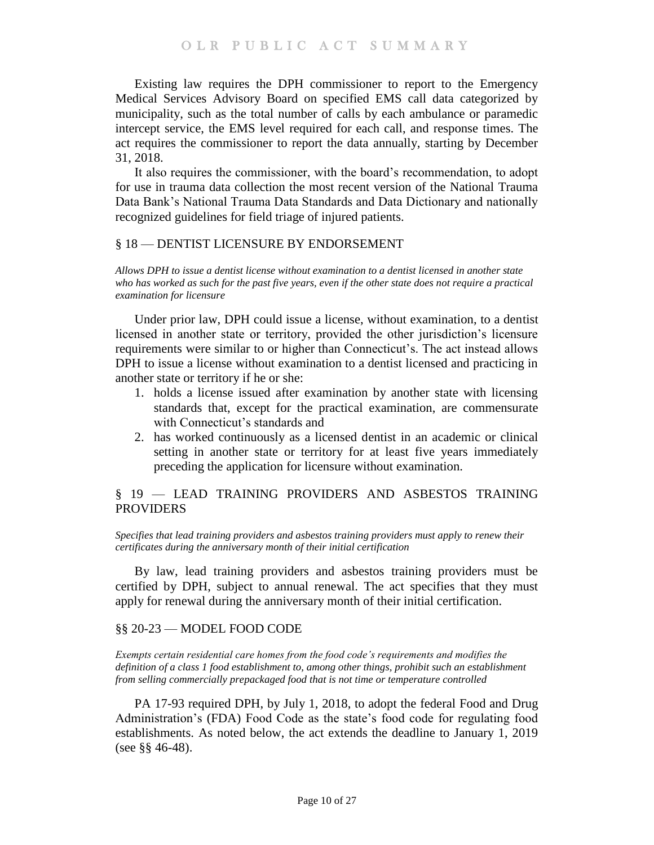Existing law requires the DPH commissioner to report to the Emergency Medical Services Advisory Board on specified EMS call data categorized by municipality, such as the total number of calls by each ambulance or paramedic intercept service, the EMS level required for each call, and response times. The act requires the commissioner to report the data annually, starting by December 31, 2018.

It also requires the commissioner, with the board's recommendation, to adopt for use in trauma data collection the most recent version of the National Trauma Data Bank's National Trauma Data Standards and Data Dictionary and nationally recognized guidelines for field triage of injured patients.

## <span id="page-9-0"></span>§ 18 — DENTIST LICENSURE BY ENDORSEMENT

*Allows DPH to issue a dentist license without examination to a dentist licensed in another state who has worked as such for the past five years, even if the other state does not require a practical examination for licensure*

Under prior law, DPH could issue a license, without examination, to a dentist licensed in another state or territory, provided the other jurisdiction's licensure requirements were similar to or higher than Connecticut's. The act instead allows DPH to issue a license without examination to a dentist licensed and practicing in another state or territory if he or she:

- 1. holds a license issued after examination by another state with licensing standards that, except for the practical examination, are commensurate with Connecticut's standards and
- 2. has worked continuously as a licensed dentist in an academic or clinical setting in another state or territory for at least five years immediately preceding the application for licensure without examination.

# <span id="page-9-1"></span>§ 19 — LEAD TRAINING PROVIDERS AND ASBESTOS TRAINING PROVIDERS

*Specifies that lead training providers and asbestos training providers must apply to renew their certificates during the anniversary month of their initial certification*

By law, lead training providers and asbestos training providers must be certified by DPH, subject to annual renewal. The act specifies that they must apply for renewal during the anniversary month of their initial certification.

## <span id="page-9-2"></span>§§ 20-23 — MODEL FOOD CODE

*Exempts certain residential care homes from the food code's requirements and modifies the definition of a class 1 food establishment to, among other things, prohibit such an establishment from selling commercially prepackaged food that is not time or temperature controlled*

PA 17-93 required DPH, by July 1, 2018, to adopt the federal Food and Drug Administration's (FDA) Food Code as the state's food code for regulating food establishments. As noted below, the act extends the deadline to January 1, 2019 (see §§ 46-48).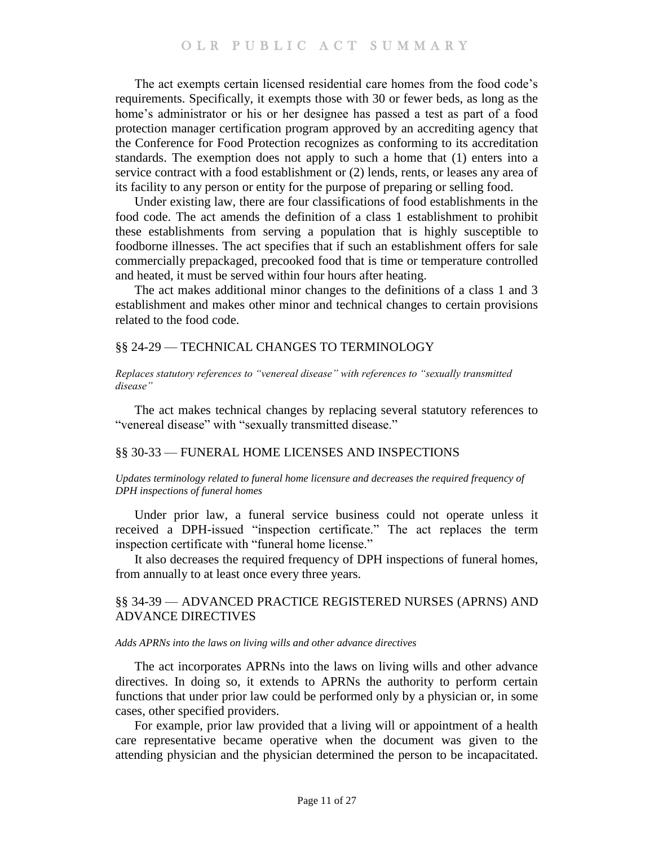The act exempts certain licensed residential care homes from the food code's requirements. Specifically, it exempts those with 30 or fewer beds, as long as the home's administrator or his or her designee has passed a test as part of a food protection manager certification program approved by an accrediting agency that the Conference for Food Protection recognizes as conforming to its accreditation standards. The exemption does not apply to such a home that (1) enters into a service contract with a food establishment or (2) lends, rents, or leases any area of its facility to any person or entity for the purpose of preparing or selling food.

Under existing law, there are four classifications of food establishments in the food code. The act amends the definition of a class 1 establishment to prohibit these establishments from serving a population that is highly susceptible to foodborne illnesses. The act specifies that if such an establishment offers for sale commercially prepackaged, precooked food that is time or temperature controlled and heated, it must be served within four hours after heating.

The act makes additional minor changes to the definitions of a class 1 and 3 establishment and makes other minor and technical changes to certain provisions related to the food code.

## <span id="page-10-0"></span>§§ 24-29 — TECHNICAL CHANGES TO TERMINOLOGY

#### *Replaces statutory references to "venereal disease" with references to "sexually transmitted disease"*

The act makes technical changes by replacing several statutory references to "venereal disease" with "sexually transmitted disease."

## <span id="page-10-1"></span>§§ 30-33 — FUNERAL HOME LICENSES AND INSPECTIONS

*Updates terminology related to funeral home licensure and decreases the required frequency of DPH inspections of funeral homes*

Under prior law, a funeral service business could not operate unless it received a DPH-issued "inspection certificate." The act replaces the term inspection certificate with "funeral home license."

It also decreases the required frequency of DPH inspections of funeral homes, from annually to at least once every three years.

# <span id="page-10-2"></span>§§ 34-39 — ADVANCED PRACTICE REGISTERED NURSES (APRNS) AND ADVANCE DIRECTIVES

#### *Adds APRNs into the laws on living wills and other advance directives*

The act incorporates APRNs into the laws on living wills and other advance directives. In doing so, it extends to APRNs the authority to perform certain functions that under prior law could be performed only by a physician or, in some cases, other specified providers.

For example, prior law provided that a living will or appointment of a health care representative became operative when the document was given to the attending physician and the physician determined the person to be incapacitated.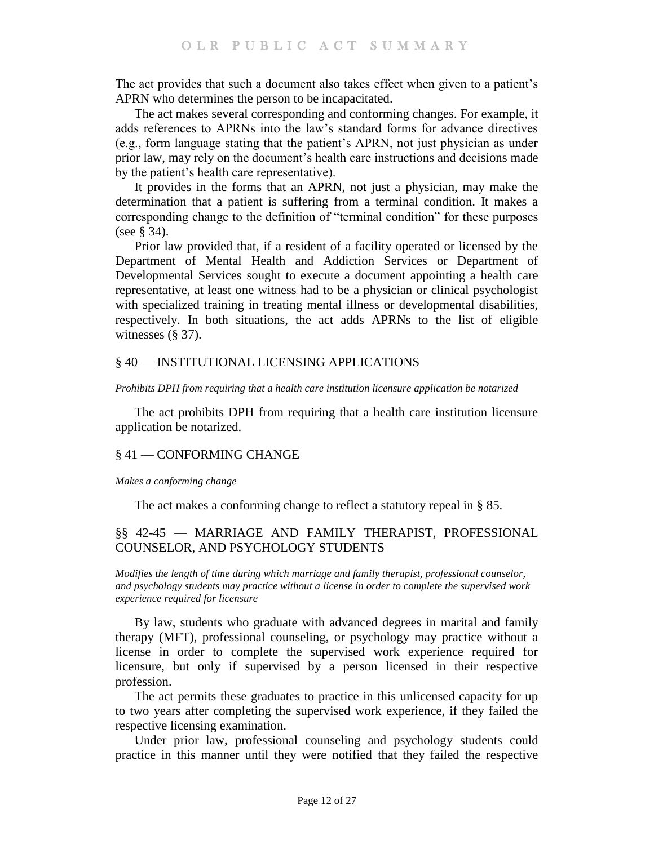The act provides that such a document also takes effect when given to a patient's APRN who determines the person to be incapacitated.

The act makes several corresponding and conforming changes. For example, it adds references to APRNs into the law's standard forms for advance directives (e.g., form language stating that the patient's APRN, not just physician as under prior law, may rely on the document's health care instructions and decisions made by the patient's health care representative).

It provides in the forms that an APRN, not just a physician, may make the determination that a patient is suffering from a terminal condition. It makes a corresponding change to the definition of "terminal condition" for these purposes (see § 34).

Prior law provided that, if a resident of a facility operated or licensed by the Department of Mental Health and Addiction Services or Department of Developmental Services sought to execute a document appointing a health care representative, at least one witness had to be a physician or clinical psychologist with specialized training in treating mental illness or developmental disabilities, respectively. In both situations, the act adds APRNs to the list of eligible witnesses (§ 37).

## <span id="page-11-0"></span>§ 40 — INSTITUTIONAL LICENSING APPLICATIONS

#### *Prohibits DPH from requiring that a health care institution licensure application be notarized*

The act prohibits DPH from requiring that a health care institution licensure application be notarized.

## <span id="page-11-1"></span>§ 41 — CONFORMING CHANGE

#### *Makes a conforming change*

The act makes a conforming change to reflect a statutory repeal in § 85.

# <span id="page-11-2"></span>§§ 42-45 — MARRIAGE AND FAMILY THERAPIST, PROFESSIONAL COUNSELOR, AND PSYCHOLOGY STUDENTS

*Modifies the length of time during which marriage and family therapist, professional counselor, and psychology students may practice without a license in order to complete the supervised work experience required for licensure* 

By law, students who graduate with advanced degrees in marital and family therapy (MFT), professional counseling, or psychology may practice without a license in order to complete the supervised work experience required for licensure, but only if supervised by a person licensed in their respective profession.

The act permits these graduates to practice in this unlicensed capacity for up to two years after completing the supervised work experience, if they failed the respective licensing examination.

Under prior law, professional counseling and psychology students could practice in this manner until they were notified that they failed the respective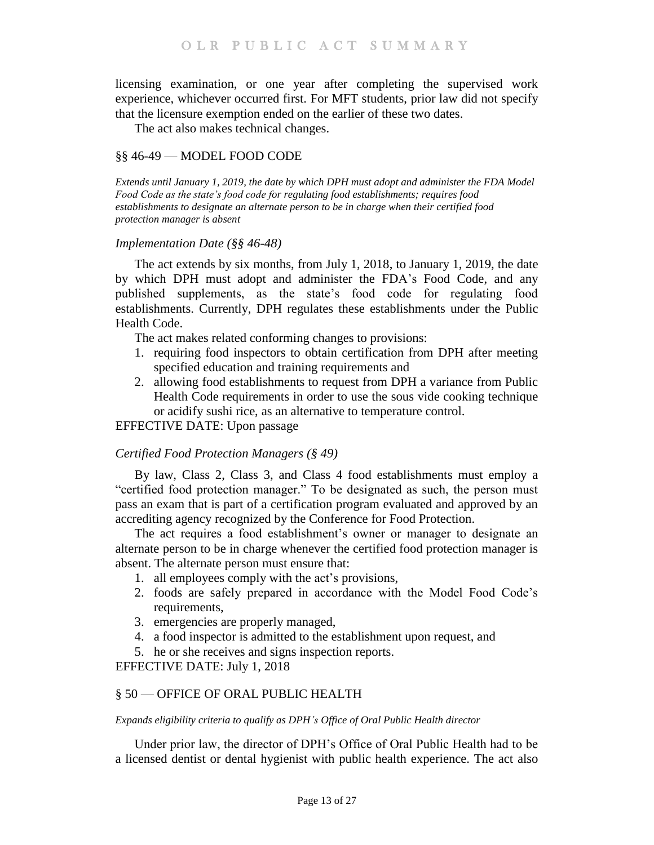licensing examination, or one year after completing the supervised work experience, whichever occurred first. For MFT students, prior law did not specify that the licensure exemption ended on the earlier of these two dates.

The act also makes technical changes.

## <span id="page-12-0"></span>§§ 46-49 — MODEL FOOD CODE

*Extends until January 1, 2019, the date by which DPH must adopt and administer the FDA Model Food Code as the state's food code for regulating food establishments; requires food establishments to designate an alternate person to be in charge when their certified food protection manager is absent*

#### *Implementation Date (§§ 46-48)*

The act extends by six months, from July 1, 2018, to January 1, 2019, the date by which DPH must adopt and administer the FDA's Food Code, and any published supplements, as the state's food code for regulating food establishments. Currently, DPH regulates these establishments under the Public Health Code.

The act makes related conforming changes to provisions:

- 1. requiring food inspectors to obtain certification from DPH after meeting specified education and training requirements and
- 2. allowing food establishments to request from DPH a variance from Public Health Code requirements in order to use the sous vide cooking technique or acidify sushi rice, as an alternative to temperature control.

EFFECTIVE DATE: Upon passage

## *Certified Food Protection Managers (§ 49)*

By law, Class 2, Class 3, and Class 4 food establishments must employ a "certified food protection manager." To be designated as such, the person must pass an exam that is part of a certification program evaluated and approved by an accrediting agency recognized by the Conference for Food Protection.

The act requires a food establishment's owner or manager to designate an alternate person to be in charge whenever the certified food protection manager is absent. The alternate person must ensure that:

- 1. all employees comply with the act's provisions,
- 2. foods are safely prepared in accordance with the Model Food Code's requirements,
- 3. emergencies are properly managed,
- 4. a food inspector is admitted to the establishment upon request, and
- 5. he or she receives and signs inspection reports.

EFFECTIVE DATE: July 1, 2018

## <span id="page-12-1"></span>§ 50 — OFFICE OF ORAL PUBLIC HEALTH

#### *Expands eligibility criteria to qualify as DPH's Office of Oral Public Health director*

Under prior law, the director of DPH's Office of Oral Public Health had to be a licensed dentist or dental hygienist with public health experience. The act also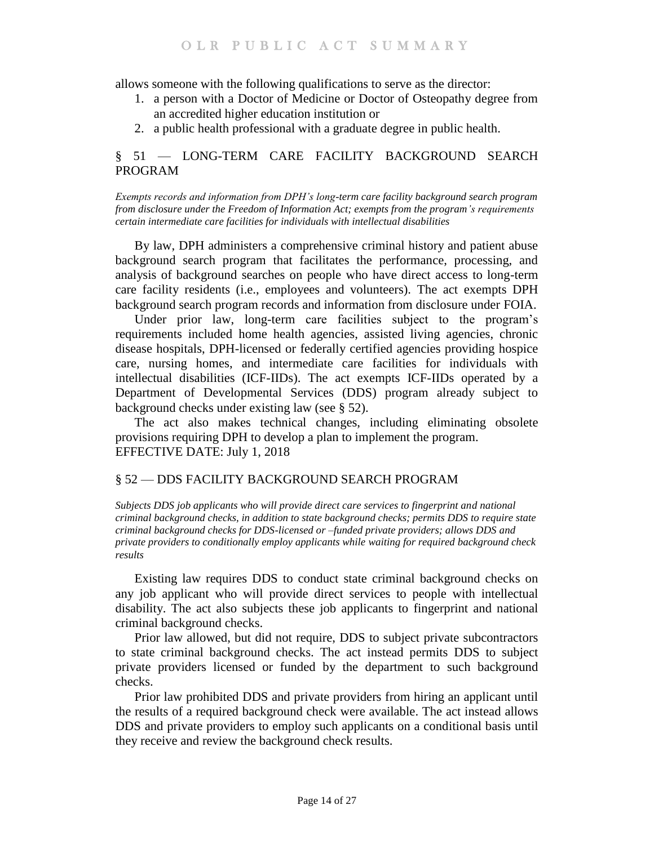allows someone with the following qualifications to serve as the director:

- 1. a person with a Doctor of Medicine or Doctor of Osteopathy degree from an accredited higher education institution or
- 2. a public health professional with a graduate degree in public health.

# <span id="page-13-0"></span>§ 51 — LONG-TERM CARE FACILITY BACKGROUND SEARCH PROGRAM

*Exempts records and information from DPH's long-term care facility background search program from disclosure under the Freedom of Information Act; exempts from the program's requirements certain intermediate care facilities for individuals with intellectual disabilities*

By law, DPH administers a comprehensive criminal history and patient abuse background search program that facilitates the performance, processing, and analysis of background searches on people who have direct access to long-term care facility residents (i.e., employees and volunteers). The act exempts DPH background search program records and information from disclosure under FOIA.

Under prior law, long-term care facilities subject to the program's requirements included home health agencies, assisted living agencies, chronic disease hospitals, DPH-licensed or federally certified agencies providing hospice care, nursing homes, and intermediate care facilities for individuals with intellectual disabilities (ICF-IIDs). The act exempts ICF-IIDs operated by a Department of Developmental Services (DDS) program already subject to background checks under existing law (see § 52).

The act also makes technical changes, including eliminating obsolete provisions requiring DPH to develop a plan to implement the program. EFFECTIVE DATE: July 1, 2018

# <span id="page-13-1"></span>§ 52 — DDS FACILITY BACKGROUND SEARCH PROGRAM

*Subjects DDS job applicants who will provide direct care services to fingerprint and national criminal background checks, in addition to state background checks; permits DDS to require state criminal background checks for DDS-licensed or –funded private providers; allows DDS and private providers to conditionally employ applicants while waiting for required background check results*

Existing law requires DDS to conduct state criminal background checks on any job applicant who will provide direct services to people with intellectual disability. The act also subjects these job applicants to fingerprint and national criminal background checks.

Prior law allowed, but did not require, DDS to subject private subcontractors to state criminal background checks. The act instead permits DDS to subject private providers licensed or funded by the department to such background checks.

Prior law prohibited DDS and private providers from hiring an applicant until the results of a required background check were available. The act instead allows DDS and private providers to employ such applicants on a conditional basis until they receive and review the background check results.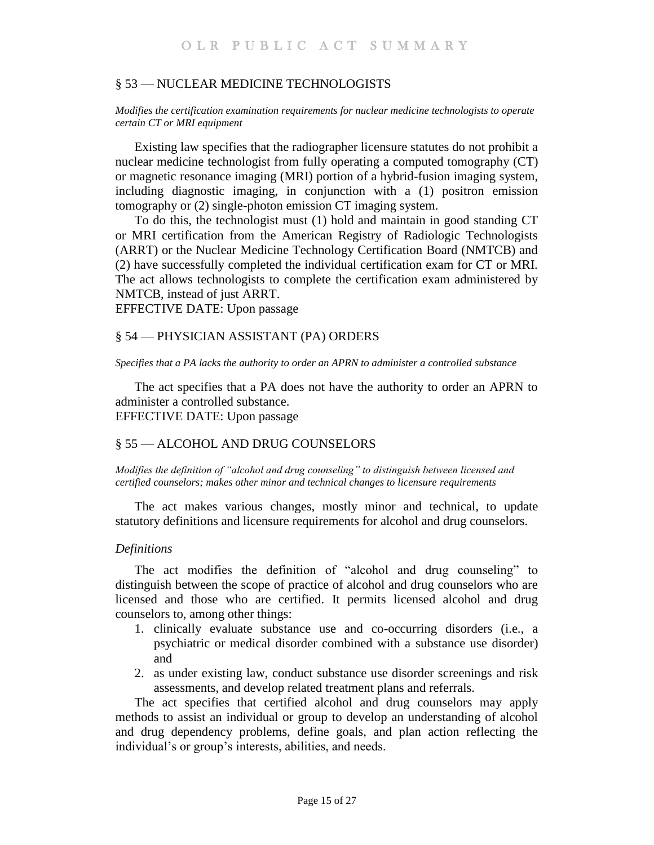#### <span id="page-14-0"></span>§ 53 — NUCLEAR MEDICINE TECHNOLOGISTS

*Modifies the certification examination requirements for nuclear medicine technologists to operate certain CT or MRI equipment*

Existing law specifies that the radiographer licensure statutes do not prohibit a nuclear medicine technologist from fully operating a computed tomography (CT) or magnetic resonance imaging (MRI) portion of a hybrid-fusion imaging system, including diagnostic imaging, in conjunction with a (1) positron emission tomography or (2) single-photon emission CT imaging system.

To do this, the technologist must (1) hold and maintain in good standing CT or MRI certification from the American Registry of Radiologic Technologists (ARRT) or the Nuclear Medicine Technology Certification Board (NMTCB) and (2) have successfully completed the individual certification exam for CT or MRI. The act allows technologists to complete the certification exam administered by NMTCB, instead of just ARRT.

EFFECTIVE DATE: Upon passage

## <span id="page-14-1"></span>§ 54 — PHYSICIAN ASSISTANT (PA) ORDERS

*Specifies that a PA lacks the authority to order an APRN to administer a controlled substance*

The act specifies that a PA does not have the authority to order an APRN to administer a controlled substance. EFFECTIVE DATE: Upon passage

#### <span id="page-14-2"></span>§ 55 — ALCOHOL AND DRUG COUNSELORS

*Modifies the definition of "alcohol and drug counseling" to distinguish between licensed and certified counselors; makes other minor and technical changes to licensure requirements*

The act makes various changes, mostly minor and technical, to update statutory definitions and licensure requirements for alcohol and drug counselors.

#### *Definitions*

The act modifies the definition of "alcohol and drug counseling" to distinguish between the scope of practice of alcohol and drug counselors who are licensed and those who are certified. It permits licensed alcohol and drug counselors to, among other things:

- 1. clinically evaluate substance use and co-occurring disorders (i.e., a psychiatric or medical disorder combined with a substance use disorder) and
- 2. as under existing law, conduct substance use disorder screenings and risk assessments, and develop related treatment plans and referrals.

The act specifies that certified alcohol and drug counselors may apply methods to assist an individual or group to develop an understanding of alcohol and drug dependency problems, define goals, and plan action reflecting the individual's or group's interests, abilities, and needs.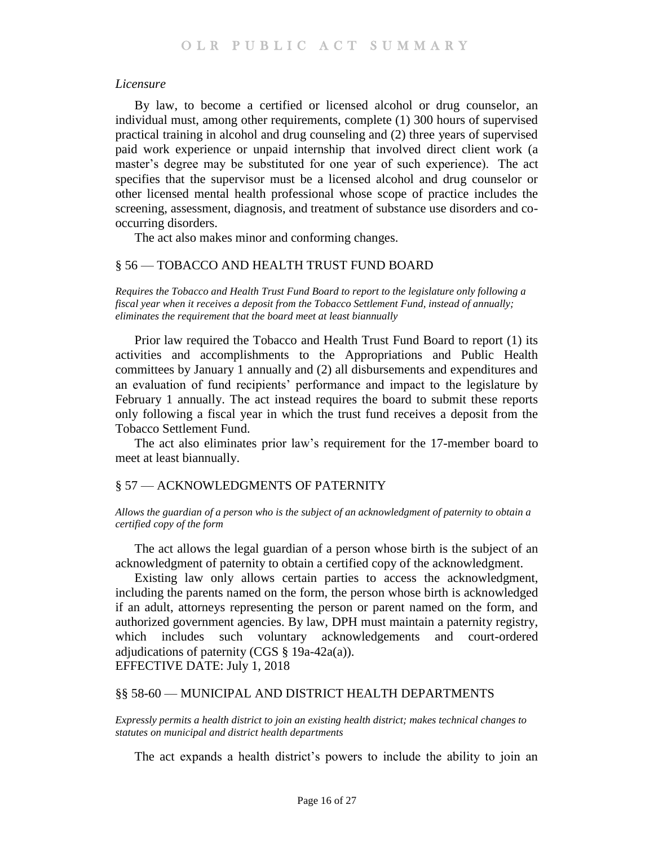#### *Licensure*

By law, to become a certified or licensed alcohol or drug counselor, an individual must, among other requirements, complete (1) 300 hours of supervised practical training in alcohol and drug counseling and (2) three years of supervised paid work experience or unpaid internship that involved direct client work (a master's degree may be substituted for one year of such experience). The act specifies that the supervisor must be a licensed alcohol and drug counselor or other licensed mental health professional whose scope of practice includes the screening, assessment, diagnosis, and treatment of substance use disorders and cooccurring disorders.

The act also makes minor and conforming changes.

## <span id="page-15-0"></span>§ 56 — TOBACCO AND HEALTH TRUST FUND BOARD

*Requires the Tobacco and Health Trust Fund Board to report to the legislature only following a fiscal year when it receives a deposit from the Tobacco Settlement Fund, instead of annually; eliminates the requirement that the board meet at least biannually*

Prior law required the Tobacco and Health Trust Fund Board to report (1) its activities and accomplishments to the Appropriations and Public Health committees by January 1 annually and (2) all disbursements and expenditures and an evaluation of fund recipients' performance and impact to the legislature by February 1 annually. The act instead requires the board to submit these reports only following a fiscal year in which the trust fund receives a deposit from the Tobacco Settlement Fund.

The act also eliminates prior law's requirement for the 17-member board to meet at least biannually.

## <span id="page-15-1"></span>§ 57 — ACKNOWLEDGMENTS OF PATERNITY

*Allows the guardian of a person who is the subject of an acknowledgment of paternity to obtain a certified copy of the form*

The act allows the legal guardian of a person whose birth is the subject of an acknowledgment of paternity to obtain a certified copy of the acknowledgment.

Existing law only allows certain parties to access the acknowledgment, including the parents named on the form, the person whose birth is acknowledged if an adult, attorneys representing the person or parent named on the form, and authorized government agencies. By law, DPH must maintain a paternity registry, which includes such voluntary acknowledgements and court-ordered adjudications of paternity (CGS § 19a-42a(a)). EFFECTIVE DATE: July 1, 2018

#### <span id="page-15-2"></span>§§ 58-60 — MUNICIPAL AND DISTRICT HEALTH DEPARTMENTS

*Expressly permits a health district to join an existing health district; makes technical changes to statutes on municipal and district health departments*

The act expands a health district's powers to include the ability to join an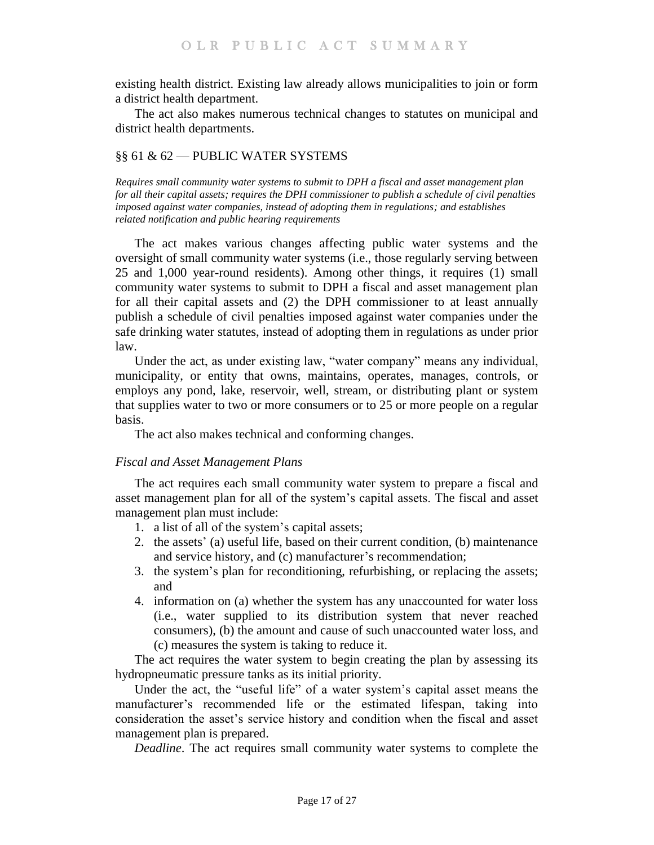existing health district. Existing law already allows municipalities to join or form a district health department.

The act also makes numerous technical changes to statutes on municipal and district health departments.

## <span id="page-16-0"></span>§§ 61 & 62 — PUBLIC WATER SYSTEMS

*Requires small community water systems to submit to DPH a fiscal and asset management plan for all their capital assets; requires the DPH commissioner to publish a schedule of civil penalties imposed against water companies, instead of adopting them in regulations; and establishes related notification and public hearing requirements*

The act makes various changes affecting public water systems and the oversight of small community water systems (i.e., those regularly serving between 25 and 1,000 year-round residents). Among other things, it requires (1) small community water systems to submit to DPH a fiscal and asset management plan for all their capital assets and (2) the DPH commissioner to at least annually publish a schedule of civil penalties imposed against water companies under the safe drinking water statutes, instead of adopting them in regulations as under prior law.

Under the act, as under existing law, "water company" means any individual, municipality, or entity that owns, maintains, operates, manages, controls, or employs any pond, lake, reservoir, well, stream, or distributing plant or system that supplies water to two or more consumers or to 25 or more people on a regular basis.

The act also makes technical and conforming changes.

## *Fiscal and Asset Management Plans*

The act requires each small community water system to prepare a fiscal and asset management plan for all of the system's capital assets. The fiscal and asset management plan must include:

- 1. a list of all of the system's capital assets;
- 2. the assets' (a) useful life, based on their current condition, (b) maintenance and service history, and (c) manufacturer's recommendation;
- 3. the system's plan for reconditioning, refurbishing, or replacing the assets; and
- 4. information on (a) whether the system has any unaccounted for water loss (i.e., water supplied to its distribution system that never reached consumers), (b) the amount and cause of such unaccounted water loss, and (c) measures the system is taking to reduce it.

The act requires the water system to begin creating the plan by assessing its hydropneumatic pressure tanks as its initial priority.

Under the act, the "useful life" of a water system's capital asset means the manufacturer's recommended life or the estimated lifespan, taking into consideration the asset's service history and condition when the fiscal and asset management plan is prepared.

*Deadline*. The act requires small community water systems to complete the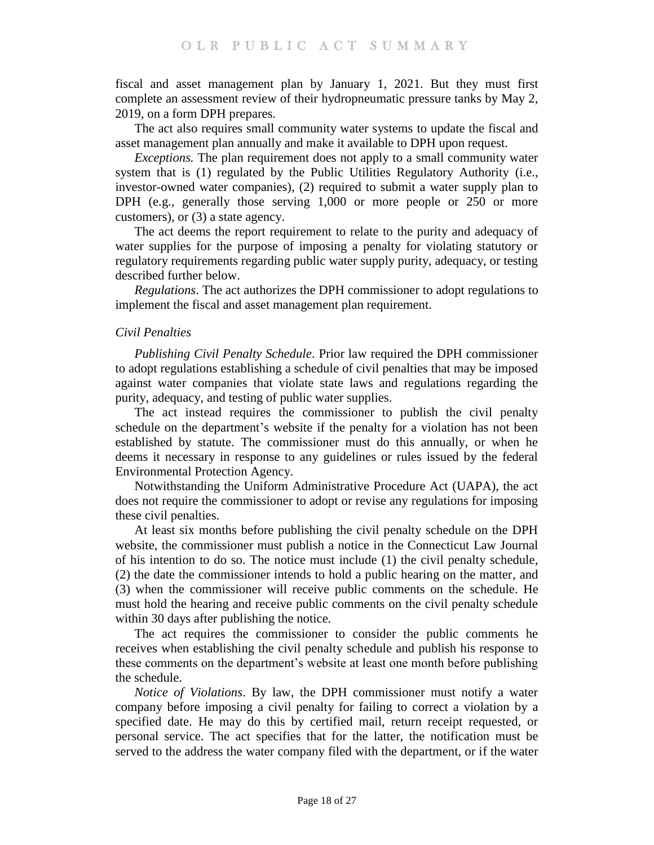fiscal and asset management plan by January 1, 2021. But they must first complete an assessment review of their hydropneumatic pressure tanks by May 2, 2019, on a form DPH prepares.

The act also requires small community water systems to update the fiscal and asset management plan annually and make it available to DPH upon request.

*Exceptions.* The plan requirement does not apply to a small community water system that is (1) regulated by the Public Utilities Regulatory Authority (i.e., investor-owned water companies), (2) required to submit a water supply plan to DPH (e.g., generally those serving 1,000 or more people or 250 or more customers), or (3) a state agency.

The act deems the report requirement to relate to the purity and adequacy of water supplies for the purpose of imposing a penalty for violating statutory or regulatory requirements regarding public water supply purity, adequacy, or testing described further below.

*Regulations*. The act authorizes the DPH commissioner to adopt regulations to implement the fiscal and asset management plan requirement.

# *Civil Penalties*

*Publishing Civil Penalty Schedule*. Prior law required the DPH commissioner to adopt regulations establishing a schedule of civil penalties that may be imposed against water companies that violate state laws and regulations regarding the purity, adequacy, and testing of public water supplies.

The act instead requires the commissioner to publish the civil penalty schedule on the department's website if the penalty for a violation has not been established by statute. The commissioner must do this annually, or when he deems it necessary in response to any guidelines or rules issued by the federal Environmental Protection Agency.

Notwithstanding the Uniform Administrative Procedure Act (UAPA), the act does not require the commissioner to adopt or revise any regulations for imposing these civil penalties.

At least six months before publishing the civil penalty schedule on the DPH website, the commissioner must publish a notice in the Connecticut Law Journal of his intention to do so. The notice must include (1) the civil penalty schedule, (2) the date the commissioner intends to hold a public hearing on the matter, and (3) when the commissioner will receive public comments on the schedule. He must hold the hearing and receive public comments on the civil penalty schedule within 30 days after publishing the notice.

The act requires the commissioner to consider the public comments he receives when establishing the civil penalty schedule and publish his response to these comments on the department's website at least one month before publishing the schedule.

*Notice of Violations*. By law, the DPH commissioner must notify a water company before imposing a civil penalty for failing to correct a violation by a specified date. He may do this by certified mail, return receipt requested, or personal service. The act specifies that for the latter, the notification must be served to the address the water company filed with the department, or if the water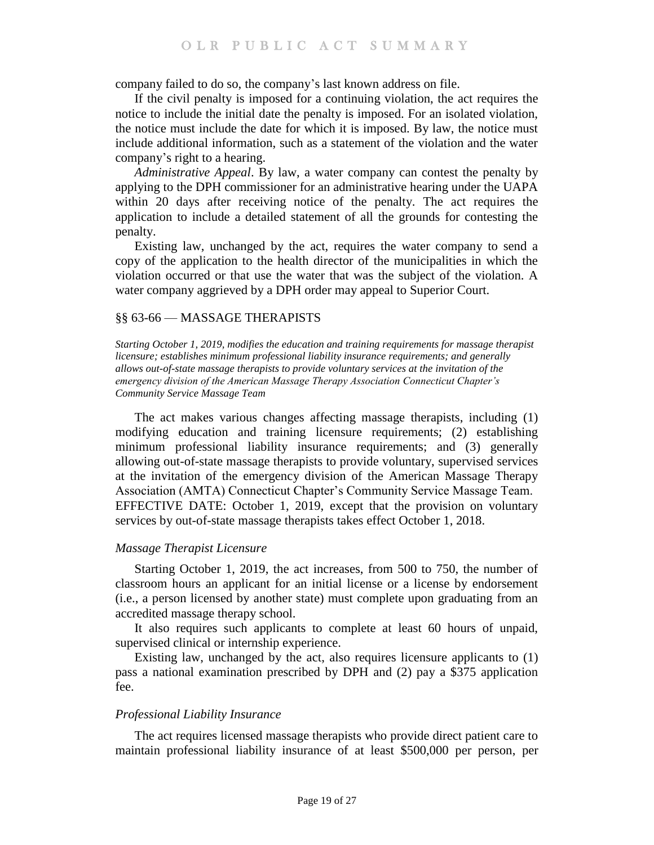company failed to do so, the company's last known address on file.

If the civil penalty is imposed for a continuing violation, the act requires the notice to include the initial date the penalty is imposed. For an isolated violation, the notice must include the date for which it is imposed. By law, the notice must include additional information, such as a statement of the violation and the water company's right to a hearing.

*Administrative Appeal*. By law, a water company can contest the penalty by applying to the DPH commissioner for an administrative hearing under the UAPA within 20 days after receiving notice of the penalty. The act requires the application to include a detailed statement of all the grounds for contesting the penalty.

Existing law, unchanged by the act, requires the water company to send a copy of the application to the health director of the municipalities in which the violation occurred or that use the water that was the subject of the violation. A water company aggrieved by a DPH order may appeal to Superior Court.

#### <span id="page-18-0"></span>§§ 63-66 — MASSAGE THERAPISTS

*Starting October 1, 2019, modifies the education and training requirements for massage therapist licensure; establishes minimum professional liability insurance requirements; and generally allows out-of-state massage therapists to provide voluntary services at the invitation of the emergency division of the American Massage Therapy Association Connecticut Chapter's Community Service Massage Team* 

The act makes various changes affecting massage therapists, including (1) modifying education and training licensure requirements; (2) establishing minimum professional liability insurance requirements; and (3) generally allowing out-of-state massage therapists to provide voluntary, supervised services at the invitation of the emergency division of the American Massage Therapy Association (AMTA) Connecticut Chapter's Community Service Massage Team. EFFECTIVE DATE: October 1, 2019, except that the provision on voluntary services by out-of-state massage therapists takes effect October 1, 2018.

## *Massage Therapist Licensure*

Starting October 1, 2019, the act increases, from 500 to 750, the number of classroom hours an applicant for an initial license or a license by endorsement (i.e., a person licensed by another state) must complete upon graduating from an accredited massage therapy school.

It also requires such applicants to complete at least 60 hours of unpaid, supervised clinical or internship experience.

Existing law, unchanged by the act, also requires licensure applicants to (1) pass a national examination prescribed by DPH and (2) pay a \$375 application fee.

## *Professional Liability Insurance*

The act requires licensed massage therapists who provide direct patient care to maintain professional liability insurance of at least \$500,000 per person, per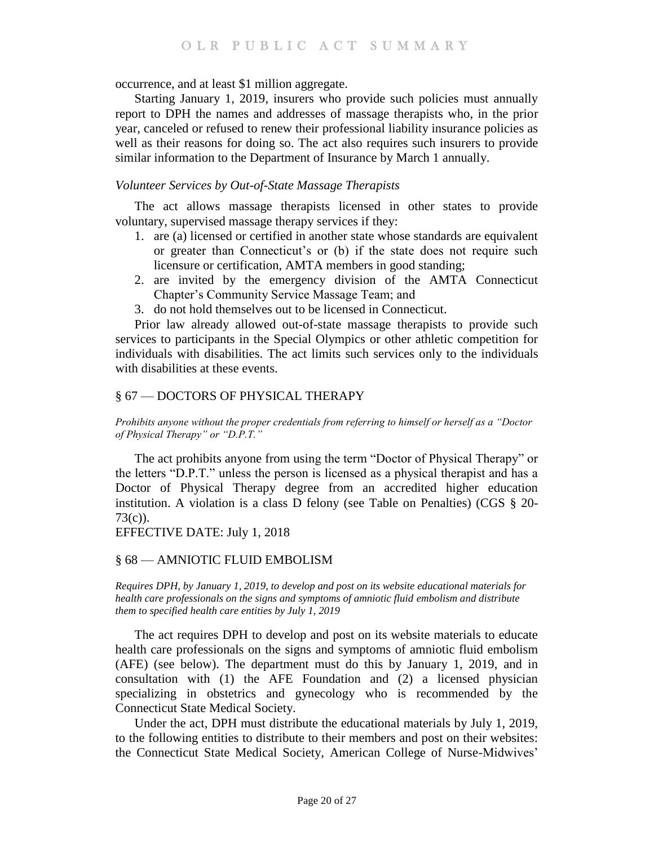occurrence, and at least \$1 million aggregate.

Starting January 1, 2019, insurers who provide such policies must annually report to DPH the names and addresses of massage therapists who, in the prior year, canceled or refused to renew their professional liability insurance policies as well as their reasons for doing so. The act also requires such insurers to provide similar information to the Department of Insurance by March 1 annually.

#### *Volunteer Services by Out-of-State Massage Therapists*

The act allows massage therapists licensed in other states to provide voluntary, supervised massage therapy services if they:

- 1. are (a) licensed or certified in another state whose standards are equivalent or greater than Connecticut's or (b) if the state does not require such licensure or certification, AMTA members in good standing;
- 2. are invited by the emergency division of the AMTA Connecticut Chapter's Community Service Massage Team; and
- 3. do not hold themselves out to be licensed in Connecticut.

Prior law already allowed out-of-state massage therapists to provide such services to participants in the Special Olympics or other athletic competition for individuals with disabilities. The act limits such services only to the individuals with disabilities at these events.

# <span id="page-19-0"></span>§ 67 — DOCTORS OF PHYSICAL THERAPY

*Prohibits anyone without the proper credentials from referring to himself or herself as a "Doctor of Physical Therapy" or "D.P.T."*

The act prohibits anyone from using the term "Doctor of Physical Therapy" or the letters "D.P.T." unless the person is licensed as a physical therapist and has a Doctor of Physical Therapy degree from an accredited higher education institution. A violation is a class D felony (see Table on Penalties) (CGS § 20- 73(c)).

#### EFFECTIVE DATE: July 1, 2018

# <span id="page-19-1"></span>§ 68 — AMNIOTIC FLUID EMBOLISM

*Requires DPH, by January 1, 2019, to develop and post on its website educational materials for health care professionals on the signs and symptoms of amniotic fluid embolism and distribute them to specified health care entities by July 1, 2019*

The act requires DPH to develop and post on its website materials to educate health care professionals on the signs and symptoms of amniotic fluid embolism (AFE) (see below). The department must do this by January 1, 2019, and in consultation with (1) the AFE Foundation and (2) a licensed physician specializing in obstetrics and gynecology who is recommended by the Connecticut State Medical Society.

Under the act, DPH must distribute the educational materials by July 1, 2019, to the following entities to distribute to their members and post on their websites: the Connecticut State Medical Society, American College of Nurse-Midwives'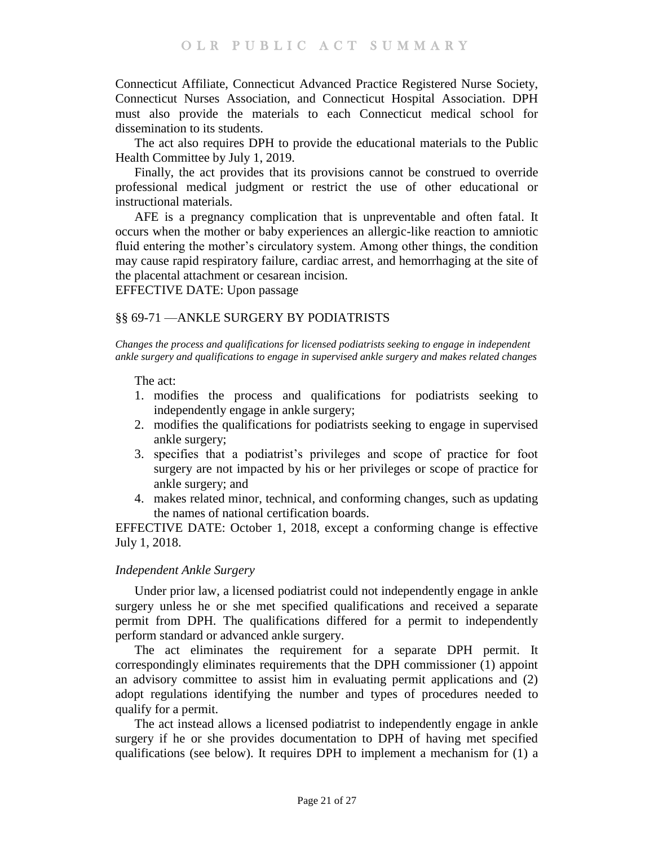Connecticut Affiliate, Connecticut Advanced Practice Registered Nurse Society, Connecticut Nurses Association, and Connecticut Hospital Association. DPH must also provide the materials to each Connecticut medical school for dissemination to its students.

The act also requires DPH to provide the educational materials to the Public Health Committee by July 1, 2019.

Finally, the act provides that its provisions cannot be construed to override professional medical judgment or restrict the use of other educational or instructional materials.

AFE is a pregnancy complication that is unpreventable and often fatal. It occurs when the mother or baby experiences an allergic-like reaction to amniotic fluid entering the mother's circulatory system. Among other things, the condition may cause rapid respiratory failure, cardiac arrest, and hemorrhaging at the site of the placental attachment or cesarean incision.

EFFECTIVE DATE: Upon passage

## <span id="page-20-0"></span>§§ 69-71 —ANKLE SURGERY BY PODIATRISTS

*Changes the process and qualifications for licensed podiatrists seeking to engage in independent ankle surgery and qualifications to engage in supervised ankle surgery and makes related changes*

The act:

- 1. modifies the process and qualifications for podiatrists seeking to independently engage in ankle surgery;
- 2. modifies the qualifications for podiatrists seeking to engage in supervised ankle surgery;
- 3. specifies that a podiatrist's privileges and scope of practice for foot surgery are not impacted by his or her privileges or scope of practice for ankle surgery; and
- 4. makes related minor, technical, and conforming changes, such as updating the names of national certification boards.

EFFECTIVE DATE: October 1, 2018, except a conforming change is effective July 1, 2018.

## *Independent Ankle Surgery*

Under prior law, a licensed podiatrist could not independently engage in ankle surgery unless he or she met specified qualifications and received a separate permit from DPH. The qualifications differed for a permit to independently perform standard or advanced ankle surgery.

The act eliminates the requirement for a separate DPH permit. It correspondingly eliminates requirements that the DPH commissioner (1) appoint an advisory committee to assist him in evaluating permit applications and (2) adopt regulations identifying the number and types of procedures needed to qualify for a permit.

The act instead allows a licensed podiatrist to independently engage in ankle surgery if he or she provides documentation to DPH of having met specified qualifications (see below). It requires DPH to implement a mechanism for (1) a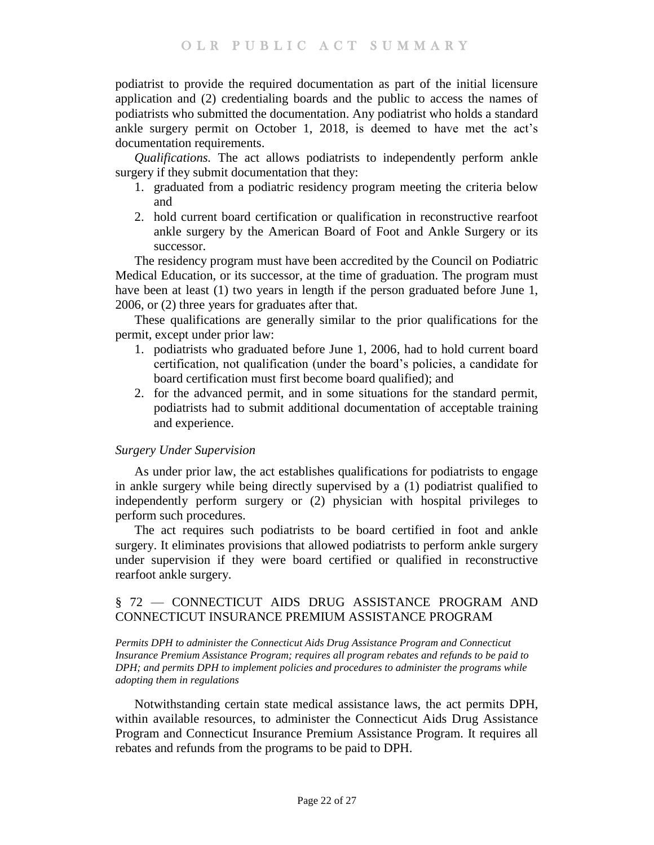podiatrist to provide the required documentation as part of the initial licensure application and (2) credentialing boards and the public to access the names of podiatrists who submitted the documentation. Any podiatrist who holds a standard ankle surgery permit on October 1, 2018, is deemed to have met the act's documentation requirements.

*Qualifications.* The act allows podiatrists to independently perform ankle surgery if they submit documentation that they:

- 1. graduated from a podiatric residency program meeting the criteria below and
- 2. hold current board certification or qualification in reconstructive rearfoot ankle surgery by the American Board of Foot and Ankle Surgery or its successor.

The residency program must have been accredited by the Council on Podiatric Medical Education, or its successor, at the time of graduation. The program must have been at least (1) two years in length if the person graduated before June 1, 2006, or (2) three years for graduates after that.

These qualifications are generally similar to the prior qualifications for the permit, except under prior law:

- 1. podiatrists who graduated before June 1, 2006, had to hold current board certification, not qualification (under the board's policies, a candidate for board certification must first become board qualified); and
- 2. for the advanced permit, and in some situations for the standard permit, podiatrists had to submit additional documentation of acceptable training and experience.

## *Surgery Under Supervision*

As under prior law, the act establishes qualifications for podiatrists to engage in ankle surgery while being directly supervised by a (1) podiatrist qualified to independently perform surgery or (2) physician with hospital privileges to perform such procedures.

The act requires such podiatrists to be board certified in foot and ankle surgery. It eliminates provisions that allowed podiatrists to perform ankle surgery under supervision if they were board certified or qualified in reconstructive rearfoot ankle surgery.

# <span id="page-21-0"></span>§ 72 — CONNECTICUT AIDS DRUG ASSISTANCE PROGRAM AND CONNECTICUT INSURANCE PREMIUM ASSISTANCE PROGRAM

*Permits DPH to administer the Connecticut Aids Drug Assistance Program and Connecticut Insurance Premium Assistance Program; requires all program rebates and refunds to be paid to DPH; and permits DPH to implement policies and procedures to administer the programs while adopting them in regulations*

Notwithstanding certain state medical assistance laws, the act permits DPH, within available resources, to administer the Connecticut Aids Drug Assistance Program and Connecticut Insurance Premium Assistance Program. It requires all rebates and refunds from the programs to be paid to DPH.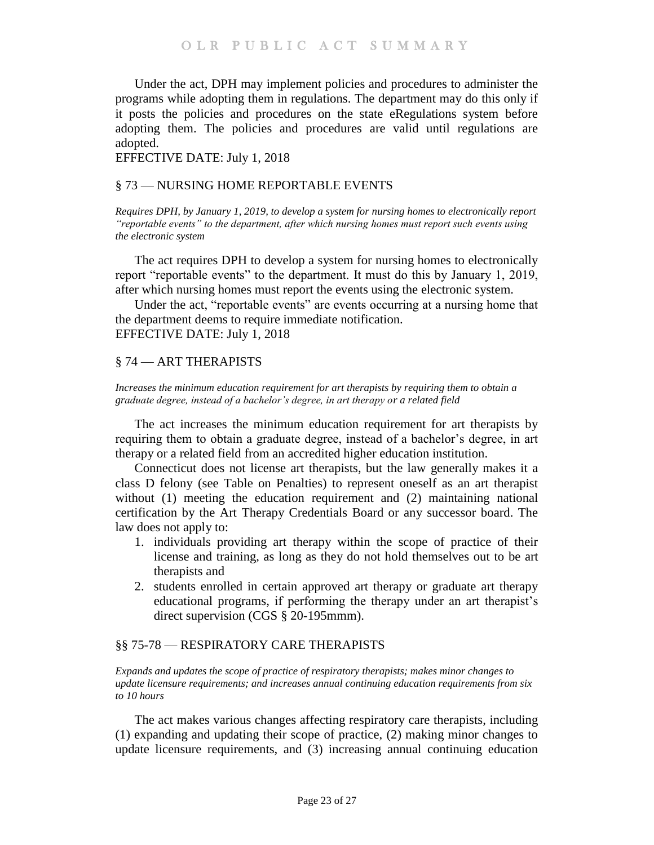Under the act, DPH may implement policies and procedures to administer the programs while adopting them in regulations. The department may do this only if it posts the policies and procedures on the state eRegulations system before adopting them. The policies and procedures are valid until regulations are adopted.

EFFECTIVE DATE: July 1, 2018

## <span id="page-22-0"></span>§ 73 — NURSING HOME REPORTABLE EVENTS

*Requires DPH, by January 1, 2019, to develop a system for nursing homes to electronically report "reportable events" to the department, after which nursing homes must report such events using the electronic system* 

The act requires DPH to develop a system for nursing homes to electronically report "reportable events" to the department. It must do this by January 1, 2019, after which nursing homes must report the events using the electronic system.

Under the act, "reportable events" are events occurring at a nursing home that the department deems to require immediate notification. EFFECTIVE DATE: July 1, 2018

## <span id="page-22-1"></span>§ 74 — ART THERAPISTS

*Increases the minimum education requirement for art therapists by requiring them to obtain a graduate degree, instead of a bachelor's degree, in art therapy or a related field*

The act increases the minimum education requirement for art therapists by requiring them to obtain a graduate degree, instead of a bachelor's degree, in art therapy or a related field from an accredited higher education institution.

Connecticut does not license art therapists, but the law generally makes it a class D felony (see Table on Penalties) to represent oneself as an art therapist without (1) meeting the education requirement and (2) maintaining national certification by the Art Therapy Credentials Board or any successor board. The law does not apply to:

- 1. individuals providing art therapy within the scope of practice of their license and training, as long as they do not hold themselves out to be art therapists and
- 2. students enrolled in certain approved art therapy or graduate art therapy educational programs, if performing the therapy under an art therapist's direct supervision (CGS § 20-195mmm).

## <span id="page-22-2"></span>§§ 75-78 — RESPIRATORY CARE THERAPISTS

*Expands and updates the scope of practice of respiratory therapists; makes minor changes to update licensure requirements; and increases annual continuing education requirements from six to 10 hours*

The act makes various changes affecting respiratory care therapists, including (1) expanding and updating their scope of practice, (2) making minor changes to update licensure requirements, and (3) increasing annual continuing education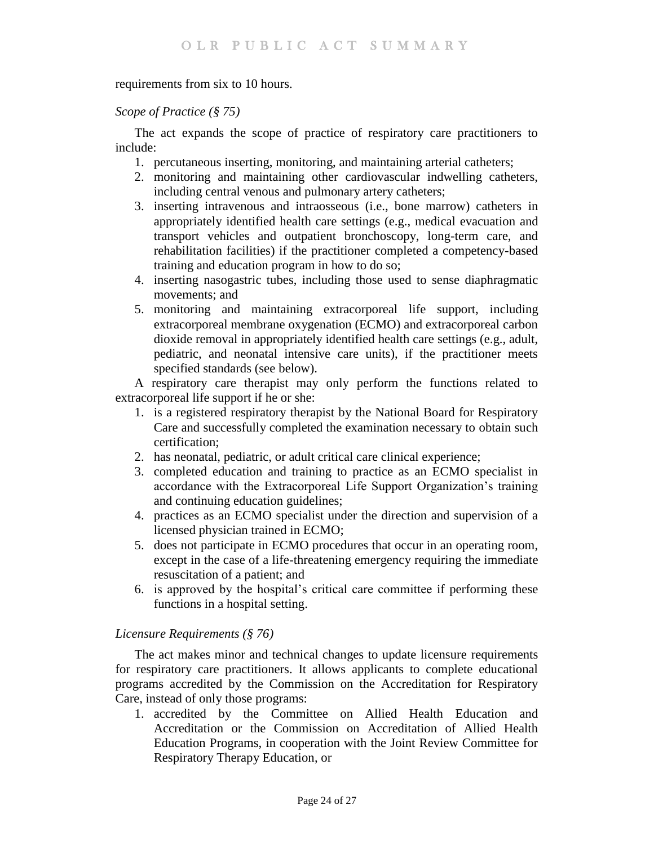## requirements from six to 10 hours.

## *Scope of Practice (§ 75)*

The act expands the scope of practice of respiratory care practitioners to include:

- 1. percutaneous inserting, monitoring, and maintaining arterial catheters;
- 2. monitoring and maintaining other cardiovascular indwelling catheters, including central venous and pulmonary artery catheters;
- 3. inserting intravenous and intraosseous (i.e., bone marrow) catheters in appropriately identified health care settings (e.g., medical evacuation and transport vehicles and outpatient bronchoscopy, long-term care, and rehabilitation facilities) if the practitioner completed a competency-based training and education program in how to do so;
- 4. inserting nasogastric tubes, including those used to sense diaphragmatic movements; and
- 5. monitoring and maintaining extracorporeal life support, including extracorporeal membrane oxygenation (ECMO) and extracorporeal carbon dioxide removal in appropriately identified health care settings (e.g., adult, pediatric, and neonatal intensive care units), if the practitioner meets specified standards (see below).

A respiratory care therapist may only perform the functions related to extracorporeal life support if he or she:

- 1. is a registered respiratory therapist by the National Board for Respiratory Care and successfully completed the examination necessary to obtain such certification;
- 2. has neonatal, pediatric, or adult critical care clinical experience;
- 3. completed education and training to practice as an ECMO specialist in accordance with the Extracorporeal Life Support Organization's training and continuing education guidelines;
- 4. practices as an ECMO specialist under the direction and supervision of a licensed physician trained in ECMO;
- 5. does not participate in ECMO procedures that occur in an operating room, except in the case of a life-threatening emergency requiring the immediate resuscitation of a patient; and
- 6. is approved by the hospital's critical care committee if performing these functions in a hospital setting.

# *Licensure Requirements (§ 76)*

The act makes minor and technical changes to update licensure requirements for respiratory care practitioners. It allows applicants to complete educational programs accredited by the Commission on the Accreditation for Respiratory Care, instead of only those programs:

1. accredited by the Committee on Allied Health Education and Accreditation or the Commission on Accreditation of Allied Health Education Programs, in cooperation with the Joint Review Committee for Respiratory Therapy Education, or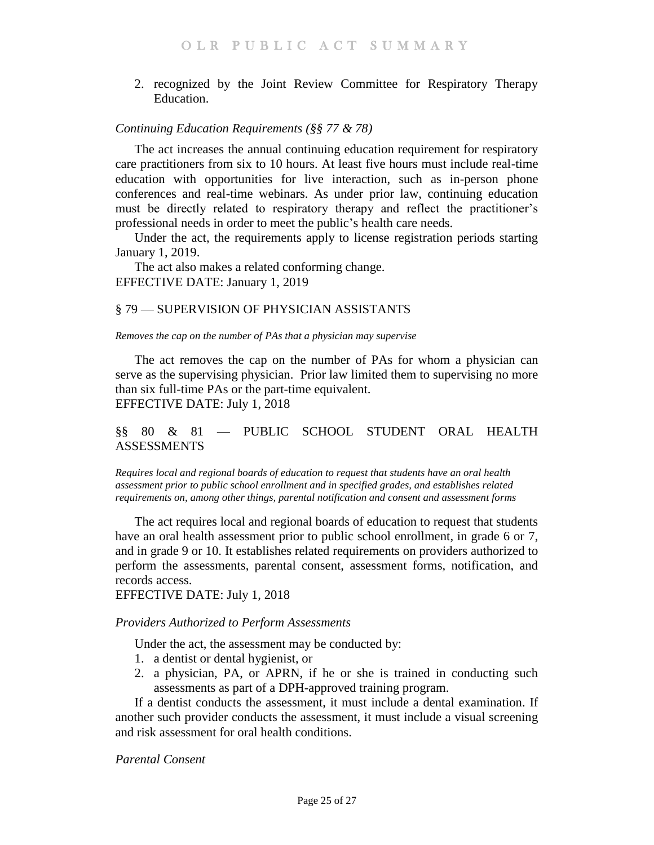2. recognized by the Joint Review Committee for Respiratory Therapy Education.

## *Continuing Education Requirements (§§ 77 & 78)*

The act increases the annual continuing education requirement for respiratory care practitioners from six to 10 hours. At least five hours must include real-time education with opportunities for live interaction, such as in-person phone conferences and real-time webinars. As under prior law, continuing education must be directly related to respiratory therapy and reflect the practitioner's professional needs in order to meet the public's health care needs.

Under the act, the requirements apply to license registration periods starting January 1, 2019.

The act also makes a related conforming change. EFFECTIVE DATE: January 1, 2019

## <span id="page-24-0"></span>§ 79 — SUPERVISION OF PHYSICIAN ASSISTANTS

*Removes the cap on the number of PAs that a physician may supervise*

The act removes the cap on the number of PAs for whom a physician can serve as the supervising physician. Prior law limited them to supervising no more than six full-time PAs or the part-time equivalent. EFFECTIVE DATE: July 1, 2018

# <span id="page-24-1"></span>§§ 80 & 81 — PUBLIC SCHOOL STUDENT ORAL HEALTH ASSESSMENTS

*Requires local and regional boards of education to request that students have an oral health assessment prior to public school enrollment and in specified grades, and establishes related requirements on, among other things, parental notification and consent and assessment forms*

The act requires local and regional boards of education to request that students have an oral health assessment prior to public school enrollment, in grade 6 or 7, and in grade 9 or 10. It establishes related requirements on providers authorized to perform the assessments, parental consent, assessment forms, notification, and records access.

EFFECTIVE DATE: July 1, 2018

## *Providers Authorized to Perform Assessments*

Under the act, the assessment may be conducted by:

- 1. a dentist or dental hygienist, or
- 2. a physician, PA, or APRN, if he or she is trained in conducting such assessments as part of a DPH-approved training program.

If a dentist conducts the assessment, it must include a dental examination. If another such provider conducts the assessment, it must include a visual screening and risk assessment for oral health conditions.

*Parental Consent*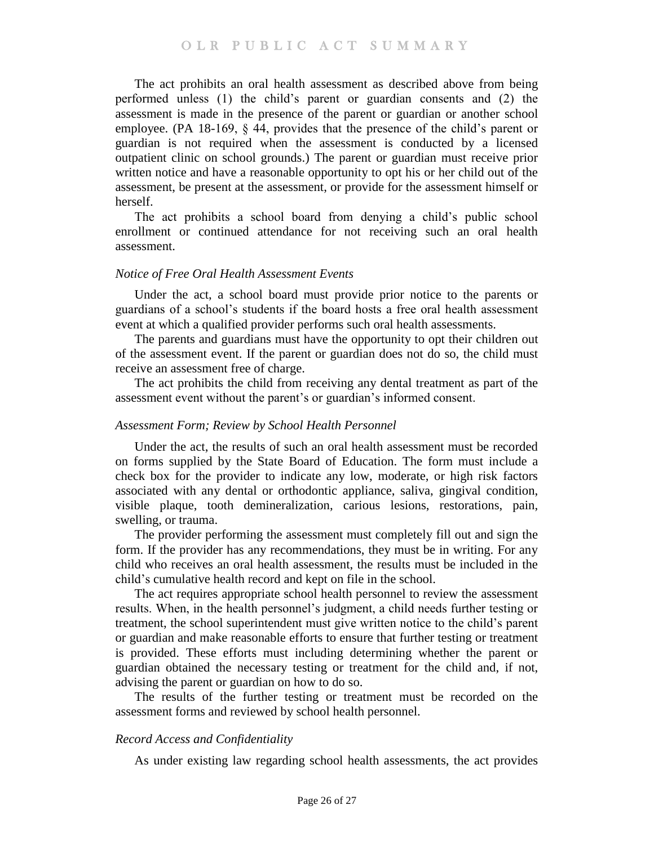The act prohibits an oral health assessment as described above from being performed unless (1) the child's parent or guardian consents and (2) the assessment is made in the presence of the parent or guardian or another school employee. (PA 18-169, § 44, provides that the presence of the child's parent or guardian is not required when the assessment is conducted by a licensed outpatient clinic on school grounds.) The parent or guardian must receive prior written notice and have a reasonable opportunity to opt his or her child out of the assessment, be present at the assessment, or provide for the assessment himself or herself.

The act prohibits a school board from denying a child's public school enrollment or continued attendance for not receiving such an oral health assessment.

## *Notice of Free Oral Health Assessment Events*

Under the act, a school board must provide prior notice to the parents or guardians of a school's students if the board hosts a free oral health assessment event at which a qualified provider performs such oral health assessments.

The parents and guardians must have the opportunity to opt their children out of the assessment event. If the parent or guardian does not do so, the child must receive an assessment free of charge.

The act prohibits the child from receiving any dental treatment as part of the assessment event without the parent's or guardian's informed consent.

#### *Assessment Form; Review by School Health Personnel*

Under the act, the results of such an oral health assessment must be recorded on forms supplied by the State Board of Education. The form must include a check box for the provider to indicate any low, moderate, or high risk factors associated with any dental or orthodontic appliance, saliva, gingival condition, visible plaque, tooth demineralization, carious lesions, restorations, pain, swelling, or trauma.

The provider performing the assessment must completely fill out and sign the form. If the provider has any recommendations, they must be in writing. For any child who receives an oral health assessment, the results must be included in the child's cumulative health record and kept on file in the school.

The act requires appropriate school health personnel to review the assessment results. When, in the health personnel's judgment, a child needs further testing or treatment, the school superintendent must give written notice to the child's parent or guardian and make reasonable efforts to ensure that further testing or treatment is provided. These efforts must including determining whether the parent or guardian obtained the necessary testing or treatment for the child and, if not, advising the parent or guardian on how to do so.

The results of the further testing or treatment must be recorded on the assessment forms and reviewed by school health personnel.

## *Record Access and Confidentiality*

As under existing law regarding school health assessments, the act provides